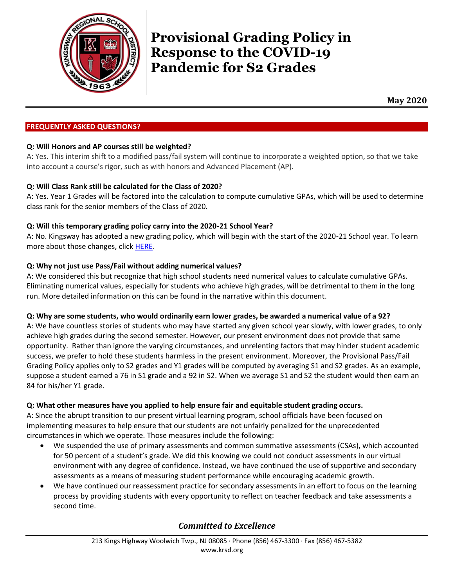

# **Provisional Grading Policy in Response to the COVID-19 Pandemic for S2 Grades**

**May 2020**

# **FREQUENTLY ASKED QUESTIONS?**

# **Q: Will Honors and AP courses still be weighted?**

A: Yes. This interim shift to a modified pass/fail system will continue to incorporate a weighted option, so that we take into account a course's rigor, such as with honors and Advanced Placement (AP).

# **Q: Will Class Rank still be calculated for the Class of 2020?**

A: Yes. Year 1 Grades will be factored into the calculation to compute cumulative GPAs, which will be used to determine class rank for the senior members of the Class of 2020.

# **Q: Will this temporary grading policy carry into the 2020-21 School Year?**

A: No. Kingsway has adopted a new grading policy, which will begin with the start of the 2020-21 School year. To learn more about those changes, click [HERE.](https://www.krsd.org/domain/425)

# **Q: Why not just use Pass/Fail without adding numerical values?**

A: We considered this but recognize that high school students need numerical values to calculate cumulative GPAs. Eliminating numerical values, especially for students who achieve high grades, will be detrimental to them in the long run. More detailed information on this can be found in the narrative within this document.

# **Q: Why are some students, who would ordinarily earn lower grades, be awarded a numerical value of a 92?**

A: We have countless stories of students who may have started any given school year slowly, with lower grades, to only achieve high grades during the second semester. However, our present environment does not provide that same opportunity. Rather than ignore the varying circumstances, and unrelenting factors that may hinder student academic success, we prefer to hold these students harmless in the present environment. Moreover, the Provisional Pass/Fail Grading Policy applies only to S2 grades and Y1 grades will be computed by averaging S1 and S2 grades. As an example, suppose a student earned a 76 in S1 grade and a 92 in S2. When we average S1 and S2 the student would then earn an 84 for his/her Y1 grade.

# **Q: What other measures have you applied to help ensure fair and equitable student grading occurs.**

A: Since the abrupt transition to our present virtual learning program, school officials have been focused on implementing measures to help ensure that our students are not unfairly penalized for the unprecedented circumstances in which we operate. Those measures include the following:

- We suspended the use of primary assessments and common summative assessments (CSAs), which accounted for 50 percent of a student's grade. We did this knowing we could not conduct assessments in our virtual environment with any degree of confidence. Instead, we have continued the use of supportive and secondary assessments as a means of measuring student performance while encouraging academic growth.
- We have continued our reassessment practice for secondary assessments in an effort to focus on the learning process by providing students with every opportunity to reflect on teacher feedback and take assessments a second time.

# *Committed to Excellence*